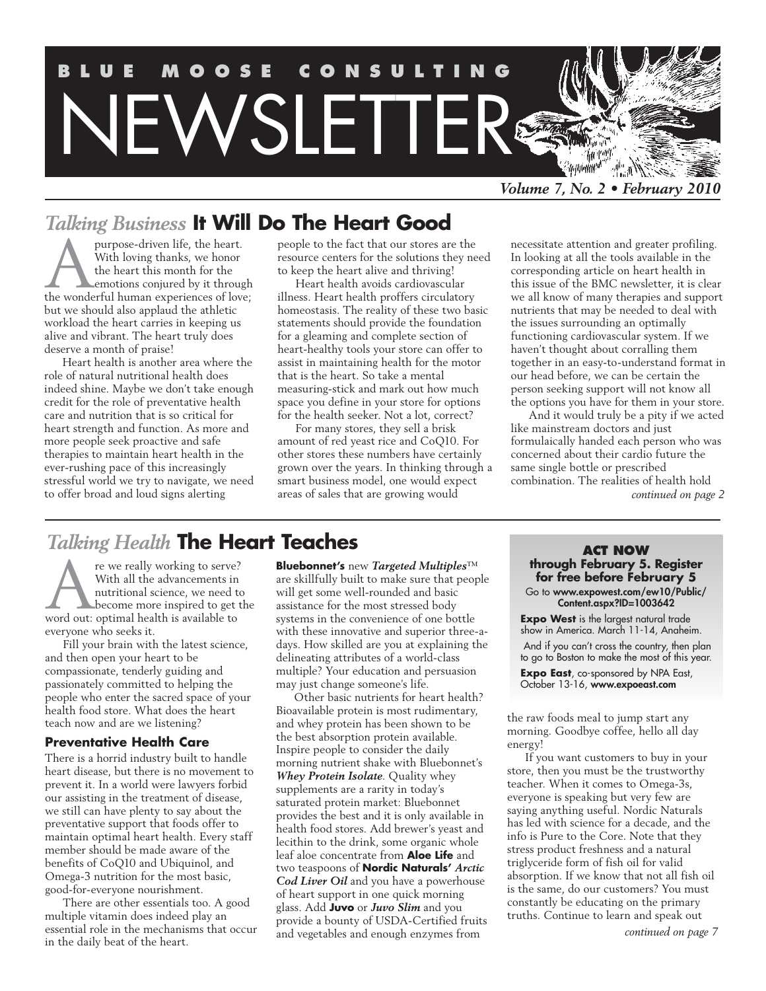

# *Talking Business* **It Will Do The Heart Good**

purpose-driven life, the heart.<br>
With loving thanks, we honor<br>
the heart this month for the<br>
emotions conjured by it through<br>
the wonderful human experiences of love; With loving thanks, we honor the heart this month for the emotions conjured by it through but we should also applaud the athletic workload the heart carries in keeping us alive and vibrant. The heart truly does deserve a month of praise!

Heart health is another area where the role of natural nutritional health does indeed shine. Maybe we don't take enough credit for the role of preventative health care and nutrition that is so critical for heart strength and function. As more and more people seek proactive and safe therapies to maintain heart health in the ever-rushing pace of this increasingly stressful world we try to navigate, we need to offer broad and loud signs alerting

people to the fact that our stores are the resource centers for the solutions they need to keep the heart alive and thriving!

Heart health avoids cardiovascular illness. Heart health proffers circulatory homeostasis. The reality of these two basic statements should provide the foundation for a gleaming and complete section of heart-healthy tools your store can offer to assist in maintaining health for the motor that is the heart. So take a mental measuring-stick and mark out how much space you define in your store for options for the health seeker. Not a lot, correct?

For many stores, they sell a brisk amount of red yeast rice and CoQ10. For other stores these numbers have certainly grown over the years. In thinking through a smart business model, one would expect areas of sales that are growing would

necessitate attention and greater profiling. In looking at all the tools available in the corresponding article on heart health in this issue of the BMC newsletter, it is clear we all know of many therapies and support nutrients that may be needed to deal with the issues surrounding an optimally functioning cardiovascular system. If we haven't thought about corralling them together in an easy-to-understand format in our head before, we can be certain the person seeking support will not know all the options you have for them in your store.

And it would truly be a pity if we acted like mainstream doctors and just formulaically handed each person who was concerned about their cardio future the same single bottle or prescribed combination. The realities of health hold *continued on page 2*

# *Talking Health* **The Heart Teaches**

re we really working to serve?<br>
With all the advancements in<br>
nutritional science, we need to<br>
become more inspired to get tl<br>
word out: optimal health is available to With all the advancements in nutritional science, we need to **become more inspired to get the** everyone who seeks it.

Fill your brain with the latest science, and then open your heart to be compassionate, tenderly guiding and passionately committed to helping the people who enter the sacred space of your health food store. What does the heart teach now and are we listening?

#### **Preventative Health Care**

There is a horrid industry built to handle heart disease, but there is no movement to prevent it. In a world were lawyers forbid our assisting in the treatment of disease, we still can have plenty to say about the preventative support that foods offer to maintain optimal heart health. Every staff member should be made aware of the benefits of CoQ10 and Ubiquinol, and Omega-3 nutrition for the most basic, good-for-everyone nourishment.

There are other essentials too. A good multiple vitamin does indeed play an essential role in the mechanisms that occur in the daily beat of the heart.

**Bluebonnet's** new *Targeted Multiples*™ are skillfully built to make sure that people will get some well-rounded and basic assistance for the most stressed body systems in the convenience of one bottle with these innovative and superior three-adays. How skilled are you at explaining the delineating attributes of a world-class multiple? Your education and persuasion may just change someone's life.

Other basic nutrients for heart health? Bioavailable protein is most rudimentary, and whey protein has been shown to be the best absorption protein available. Inspire people to consider the daily morning nutrient shake with Bluebonnet's *Whey Protein Isolate*. Quality whey supplements are a rarity in today's saturated protein market: Bluebonnet provides the best and it is only available in health food stores. Add brewer's yeast and lecithin to the drink, some organic whole leaf aloe concentrate from **Aloe Life** and two teaspoons of **Nordic Naturals'** *Arctic Cod Liver Oil* and you have a powerhouse of heart support in one quick morning glass. Add **Juvo** or *Juvo Slim* and you provide a bounty of USDA-Certified fruits and vegetables and enough enzymes from

#### **Act NOW through February 5. Register for free before February 5**

Go to www.expowest.com/ew10/Public/ Content.aspx?ID=1003642

**Expo West** is the largest natural trade show in America. March 11-14, Anaheim. And if you can't cross the country, then plan to go to Boston to make the most of this year.

**Expo East**, co-sponsored by NPA East, October 13-16, www.expoeast.com

the raw foods meal to jump start any morning. Goodbye coffee, hello all day energy!

If you want customers to buy in your store, then you must be the trustworthy teacher. When it comes to Omega-3s, everyone is speaking but very few are saying anything useful. Nordic Naturals has led with science for a decade, and the info is Pure to the Core. Note that they stress product freshness and a natural triglyceride form of fish oil for valid absorption. If we know that not all fish oil is the same, do our customers? You must constantly be educating on the primary truths. Continue to learn and speak out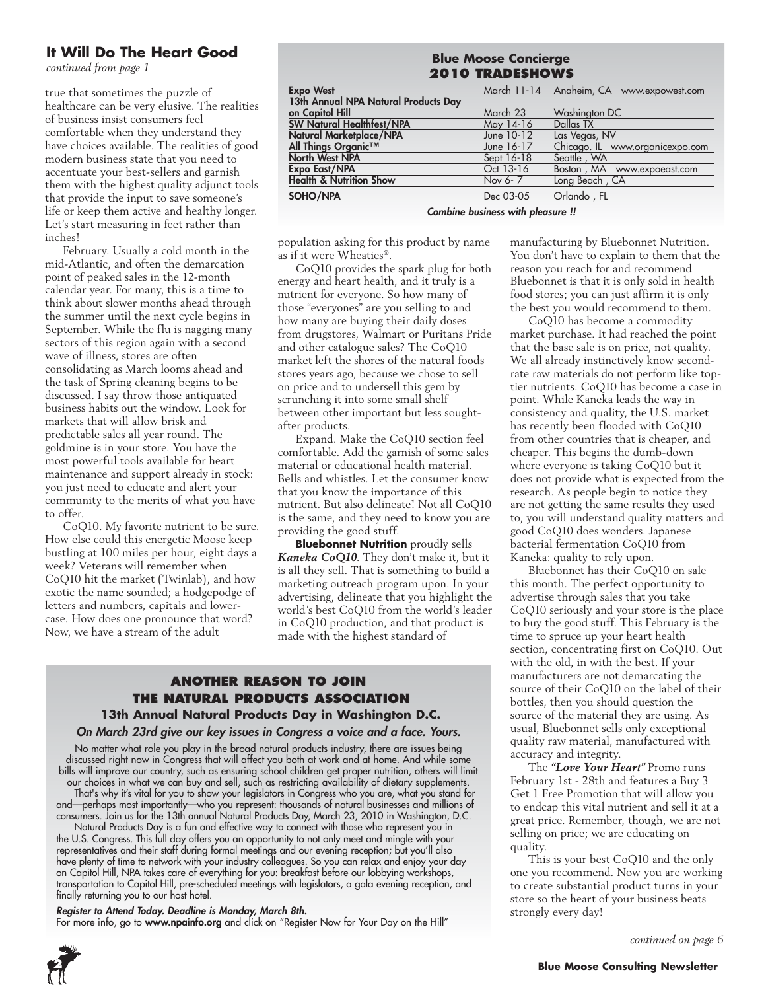#### **It Will Do The Heart Good**

*continued from page 1*

true that sometimes the puzzle of healthcare can be very elusive. The realities of business insist consumers feel comfortable when they understand they have choices available. The realities of good modern business state that you need to accentuate your best-sellers and garnish them with the highest quality adjunct tools that provide the input to save someone's life or keep them active and healthy longer. Let's start measuring in feet rather than inches!

February. Usually a cold month in the mid-Atlantic, and often the demarcation point of peaked sales in the 12-month calendar year. For many, this is a time to think about slower months ahead through the summer until the next cycle begins in September. While the flu is nagging many sectors of this region again with a second wave of illness, stores are often consolidating as March looms ahead and the task of Spring cleaning begins to be discussed. I say throw those antiquated business habits out the window. Look for markets that will allow brisk and predictable sales all year round. The goldmine is in your store. You have the most powerful tools available for heart maintenance and support already in stock: you just need to educate and alert your community to the merits of what you have to offer.

CoQ10. My favorite nutrient to be sure. How else could this energetic Moose keep bustling at 100 miles per hour, eight days a week? Veterans will remember when CoQ10 hit the market (Twinlab), and how exotic the name sounded; a hodgepodge of letters and numbers, capitals and lowercase. How does one pronounce that word? Now, we have a stream of the adult

| <b>Blue Moose Concierge</b>          |            |                                          |  |
|--------------------------------------|------------|------------------------------------------|--|
| <b>2010 TRADESHOWS</b>               |            |                                          |  |
| <b>Expo West</b>                     |            | March 11-14 Anaheim, CA www.expowest.com |  |
| 13th Annual NPA Natural Products Day |            |                                          |  |
| on Capitol Hill                      | March 23   | Washington DC                            |  |
| <b>SW Natural Healthfest/NPA</b>     | May 14-16  | Dallas TX                                |  |
| Natural Marketplace/NPA              | June 10-12 | Las Vegas, NV                            |  |
| All Things Organic™                  | June 16-17 | Chicago. IL www.organicexpo.com          |  |
| North West NPA                       | Sept 16-18 | Seattle, WA                              |  |
| <b>Expo East/NPA</b>                 | Oct 13-16  | Boston, MA www.expoeast.com              |  |
| <b>Health &amp; Nutrition Show</b>   | Nov 6-7    | Long Beach, CA                           |  |
| SOHO/NPA                             | Dec 03-05  | Orlando, FL                              |  |

*Combine business with pleasure !!*

population asking for this product by name as if it were Wheaties®.

CoQ10 provides the spark plug for both energy and heart health, and it truly is a nutrient for everyone. So how many of those "everyones" are you selling to and how many are buying their daily doses from drugstores, Walmart or Puritans Pride and other catalogue sales? The CoQ10 market left the shores of the natural foods stores years ago, because we chose to sell on price and to undersell this gem by scrunching it into some small shelf between other important but less soughtafter products.

Expand. Make the CoQ10 section feel comfortable. Add the garnish of some sales material or educational health material. Bells and whistles. Let the consumer know that you know the importance of this nutrient. But also delineate! Not all CoQ10 is the same, and they need to know you are providing the good stuff.

**Bluebonnet Nutrition** proudly sells *Kaneka CoQ10*. They don't make it, but it is all they sell. That is something to build a marketing outreach program upon. In your advertising, delineate that you highlight the world's best CoQ10 from the world's leader in CoQ10 production, and that product is made with the highest standard of

#### **Another Reason to Join The Natural Products Association 13th Annual Natural Products Day in Washington D.C.**

#### *On March 23rd give our key issues in Congress a voice and a face. Yours.*

No matter what role you play in the broad natural products industry, there are issues being discussed right now in Congress that will affect you both at work and at home. And while some bills will improve our country, such as ensuring school children get proper nutrition, others will limit our choices in what we can buy and sell, such as restricting availability of dietary supplements.

That's why it's vital for you to show your legislators in Congress who you are, what you stand for and—perhaps most importantly—who you represent: thousands of natural businesses and millions of consumers. Join us for the 13th annual Natural Products Day, March 23, 2010 in Washington, D.C.

Natural Products Day is a fun and effective way to connect with those who represent you in the U.S. Congress. This full day offers you an opportunity to not only meet and mingle with your representatives and their staff during formal meetings and our evening reception; but you'll also have plenty of time to network with your industry colleagues. So you can relax and enjoy your day on Capitol Hill, NPA takes care of everything for you: breakfast before our lobbying workshops, transportation to Capitol Hill, pre-scheduled meetings with legislators, a gala evening reception, and finally returning you to our host hotel.

#### *Register to Attend Today. Deadline is Monday, March 8th.*

For more info, go to www.npainfo.org and click on "Register Now for Your Day on the Hill"

manufacturing by Bluebonnet Nutrition. You don't have to explain to them that the reason you reach for and recommend Bluebonnet is that it is only sold in health food stores; you can just affirm it is only the best you would recommend to them.

CoQ10 has become a commodity market purchase. It had reached the point that the base sale is on price, not quality. We all already instinctively know secondrate raw materials do not perform like toptier nutrients. CoQ10 has become a case in point. While Kaneka leads the way in consistency and quality, the U.S. market has recently been flooded with CoQ10 from other countries that is cheaper, and cheaper. This begins the dumb-down where everyone is taking CoQ10 but it does not provide what is expected from the research. As people begin to notice they are not getting the same results they used to, you will understand quality matters and good CoQ10 does wonders. Japanese bacterial fermentation CoQ10 from Kaneka: quality to rely upon.

Bluebonnet has their CoQ10 on sale this month. The perfect opportunity to advertise through sales that you take CoQ10 seriously and your store is the place to buy the good stuff. This February is the time to spruce up your heart health section, concentrating first on CoQ10. Out with the old, in with the best. If your manufacturers are not demarcating the source of their CoQ10 on the label of their bottles, then you should question the source of the material they are using. As usual, Bluebonnet sells only exceptional quality raw material, manufactured with accuracy and integrity.

The *"Love Your Heart"* Promo runs February 1st - 28th and features a Buy 3 Get 1 Free Promotion that will allow you to endcap this vital nutrient and sell it at a great price. Remember, though, we are not selling on price; we are educating on quality.

This is your best CoQ10 and the only one you recommend. Now you are working to create substantial product turns in your store so the heart of your business beats strongly every day!

*continued on page 6*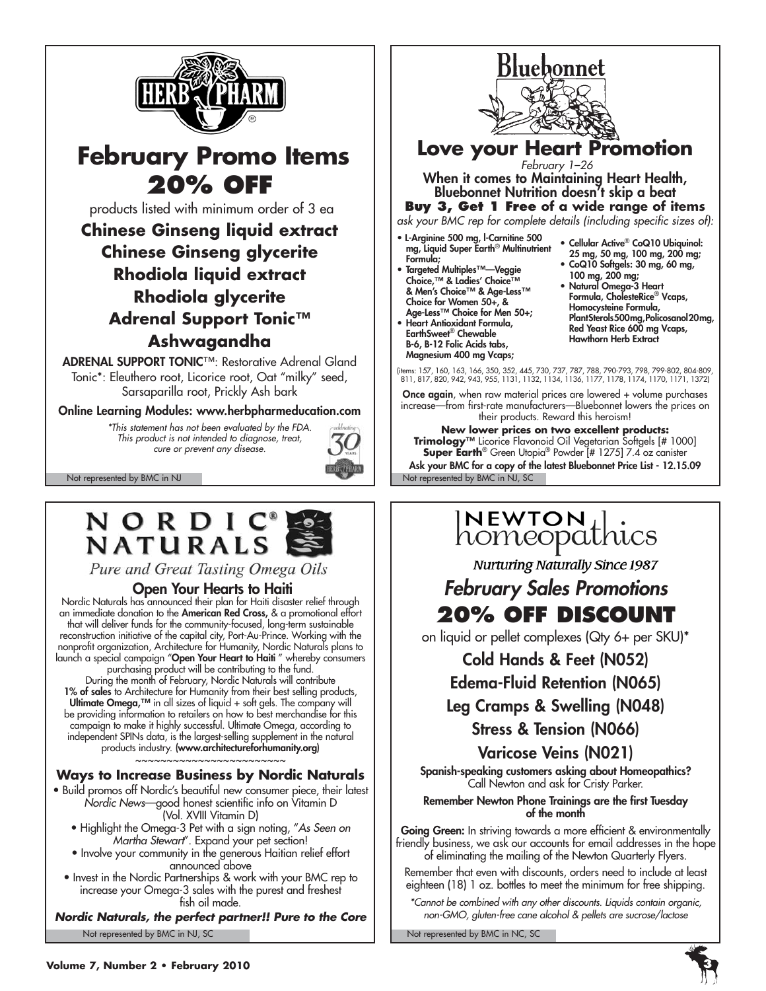

# **February Promo Items 20% off**

products listed with minimum order of 3 ea

**Chinese Ginseng liquid extract Chinese Ginseng glycerite Rhodiola liquid extract Rhodiola glycerite Adrenal Support Tonic™ Ashwagandha**

ADRENAL SUPPORT TONIC™: Restorative Adrenal Gland Tonic\*: Eleuthero root, Licorice root, Oat "milky" seed, Sarsaparilla root, Prickly Ash bark

Online Learning Modules: www.herbpharmeducation.com

*\*This statement has not been evaluated by the FDA. This product is not intended to diagnose, treat, cure or prevent any disease.*



Pure and Great Tasting Omega Oils

#### Open Your Hearts to Haiti

Nordic Naturals has announced their plan for Haiti disaster relief through an immediate donation to the American Red Cross, & a promotional effort that will deliver funds for the community-focused, long-term sustainable reconstruction initiative of the capital city, Port-Au-Prince. Working with the nonprofit organization, Architecture for Humanity, Nordic Naturals plans to launch a special campaign "**Open Your Heart to Haiti** " whereby consumers purchasing product will be contributing to the fund.

During the month of February, Nordic Naturals will contribute 1% of sales to Architecture for Humanity from their best selling products, Ultimate Omega,<sup> $TM$ </sup> in all sizes of liquid + soft gels. The company will be providing information to retailers on how to best merchandise for this campaign to make it highly successful. Ultimate Omega, according to independent SPINs data, is the largest-selling supplement in the natural products industry. (www.architectureforhumanity.org) ~~~~~~~~~~~~~~~~~~~~~~

#### **Ways to Increase Business by Nordic Naturals**

• Build promos off Nordic's beautiful new consumer piece, their latest *Nordic News*—good honest scientific info on Vitamin D (Vol. XVIII Vitamin D)

- Highlight the Omega-3 Pet with a sign noting, "*As Seen on Martha Stewart*". Expand your pet section!
- Involve your community in the generous Haitian relief effort announced above
- Invest in the Nordic Partnerships & work with your BMC rep to increase your Omega-3 sales with the purest and freshest fish oil made.

Not represented by BMC in NJ, SC Not represented by BMC in NC, SC *Nordic Naturals, the perfect partner!! Pure to the Core*



Not represented by BMC in NJ Not represented by BMC in NJ, SC **Super Earth**® Green Utopia® Powder [# 1275] 7.4 oz canister Ask your BMC for a copy of the latest Bluebonnet Price List - 12.15.09

# INEWTON | .<br>homeopathics

**Nurturing Naturally Since 1987** 

# *February Sales Promotions* **20% off discount**

on liquid or pellet complexes (Qty 6+ per SKU)\*

## Cold Hands & Feet (N052)

Edema-Fluid Retention (N065)

# Leg Cramps & Swelling (N048)

#### Stress & Tension (N066)

# Varicose Veins (N021)

Spanish-speaking customers asking about Homeopathics? Call Newton and ask for Cristy Parker.

#### Remember Newton Phone Trainings are the first Tuesday of the month

Going Green: In striving towards a more efficient & environmentally friendly business, we ask our accounts for email addresses in the hope of eliminating the mailing of the Newton Quarterly Flyers.

Remember that even with discounts, orders need to include at least eighteen (18) 1 oz. bottles to meet the minimum for free shipping.

*\*Cannot be combined with any other discounts. Liquids contain organic, non-GMO, gluten-free cane alcohol & pellets are sucrose/lactose*

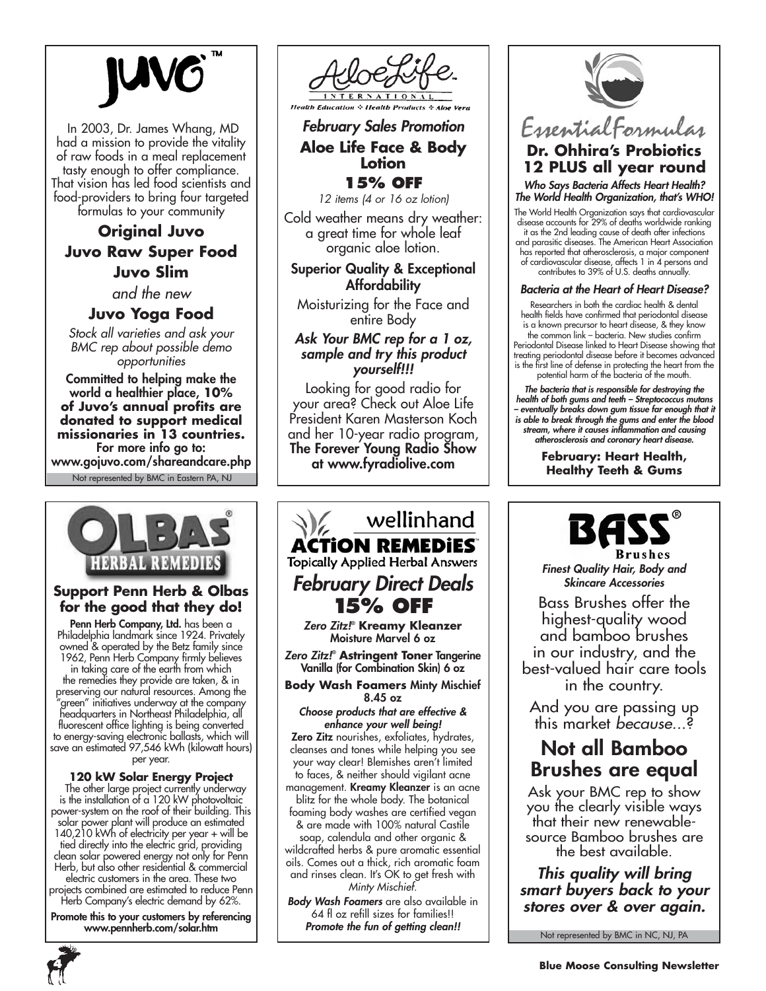In 2003, Dr. James Whang, MD had a mission to provide the vitality of raw foods in a meal replacement tasty enough to offer compliance. That vision has led food scientists and food-providers to bring four targeted formulas to your community

# **Original Juvo Juvo Raw Super Food Juvo Slim**

*and the new*

#### **Juvo Yoga Food**

*Stock all varieties and ask your BMC rep about possible demo opportunities*

Not represented by BMC in Eastern PA, NJ Committed to helping make the world a healthier place, **10% of Juvo's annual profits are donated to support medical missionaries in 13 countries.** For more info go to: www.gojuvo.com/shareandcare.php



#### **Support Penn Herb & Olbas for the good that they do!**

Penn Herb Company, Ltd. has been a Philadelphia landmark since 1924. Privately owned & operated by the Betz family since 1962, Penn Herb Company firmly believes in taking care of the earth from which the remedies they provide are taken, & in preserving our natural resources. Among the "green" initiatives underway at the company headquarters in Northeast Philadelphia, all fluorescent office lighting is being converted to energy-saving electronic ballasts, which will save an estimated 97,546 kWh (kilowatt hours) per year.

#### **120 kW Solar Energy Project**

 The other large project currently underway is the installation of a 120 kW photovoltaic power-system on the roof of their building. This solar power plant will produce an estimated 140,210 kWh of electricity per year + will be tied directly into the electric grid, providing clean solar powered energy not only for Penn Herb, but also other residential & commercial electric customers in the area. These two projects combined are estimated to reduce Penn

Herb Company's electric demand by 62%. Promote this to your customers by referencing

www.pennherb.com/solar.htm



### *February Sales Promotion* **Aloe Life Face & Body Lotion 15% off**

*12 items (4 or 16 oz lotion)*

Cold weather means dry weather: a great time for whole leaf organic aloe lotion.

#### Superior Quality & Exceptional Affordability

Moisturizing for the Face and entire Body

#### *Ask Your BMC rep for a 1 oz, sample and try this product yourself!!!*

Looking for good radio for your area? Check out Aloe Life President Karen Masterson Koch and her 10-year radio program, The Forever Young Radio Show at www.fyradiolive.com

# wellinhand **ACTION REMEDIES Topically Applied Herbal Answers** *February Direct Deals* **15% off**

*Zero Zitz!*® **Kreamy Kleanzer** Moisture Marvel 6 oz

*Zero Zitz!*® **Astringent Toner** Tangerine Vanilla (for Combination Skin) 6 oz

**Body Wash Foamers** Minty Mischief 8.45 oz

*Choose products that are effective & enhance your well being!*

Zero Zitz nourishes, exfoliates, hydrates, cleanses and tones while helping you see your way clear! Blemishes aren't limited to faces, & neither should vigilant acne

management. Kreamy Kleanzer is an acne blitz for the whole body. The botanical foaming body washes are certified vegan

& are made with 100% natural Castile soap, calendula and other organic &

wildcrafted herbs & pure aromatic essential oils. Comes out a thick, rich aromatic foam and rinses clean. It's OK to get fresh with *Minty Mischief.*

*Body Wash Foamers* are also available in 64 fl oz refill sizes for families!! *Promote the fun of getting clean!!*



EssentialFormulas

#### **Dr. Ohhira's Probiotics 12 PLUS all year round**

*Who Says Bacteria Affects Heart Health? The World Health Organization, that's WHO!* 

The World Health Organization says that cardiovascular disease accounts for 29% of deaths worldwide ranking

it as the 2nd leading cause of death after infections and parasitic diseases. The American Heart Association has reported that atherosclerosis, a major component of cardiovascular disease, affects 1 in 4 persons and contributes to 39% of U.S. deaths annually.

#### *Bacteria at the Heart of Heart Disease?*

Researchers in both the cardiac health & dental health fields have confirmed that periodontal disease is a known precursor to heart disease, & they know the common link – bacteria. New studies confirm Periodontal Disease linked to Heart Disease showing that treating periodontal disease before it becomes advanced is the first line of defense in protecting the heart from the potential harm of the bacteria of the mouth.

*The bacteria that is responsible for destroying the health of both gums and teeth – Streptococcus mutans – eventually breaks down gum tissue far enough that it is able to break through the gums and enter the blood stream, where it causes inflammation and causing atherosclerosis and coronary heart disease.*

> **February: Heart Health, Healthy Teeth & Gums**



*Finest Quality Hair, Body and Skincare Accessories*

Bass Brushes offer the highest-quality wood and bamboo brushes in our industry, and the best-valued hair care tools in the country.

And you are passing up this market *because..*.?

# Not all Bamboo Brushes are equal

Ask your BMC rep to show you the clearly visible ways that their new renewablesource Bamboo brushes are the best available.

*This quality will bring smart buyers back to your stores over & over again.*

Not represented by BMC in NC, NJ, PA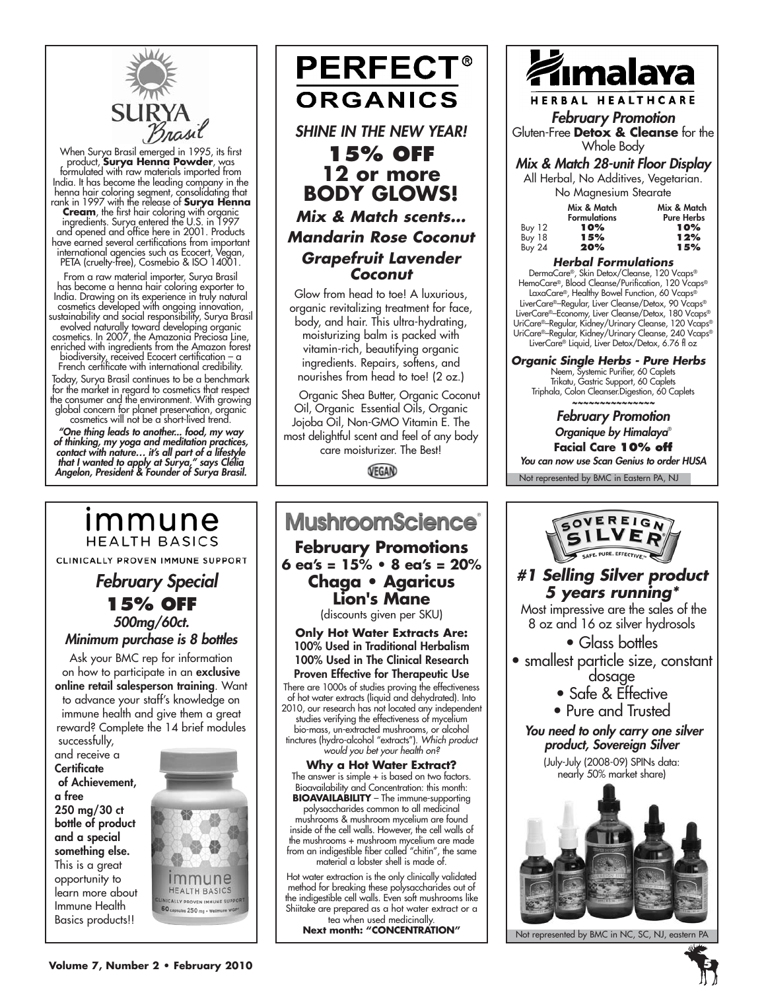

When Surya Brasil emerged in 1995, its first product, **Surya Henna Powder**, was formulated with raw materials imported from India. It has become the leading company in the henna hair coloring segment, consolidating that rank in 1997 with the release of **Surya Henna Cream**, the first hair coloring with organic ingredients. Surya entered the U.S. in 1997 and opened and office here in 2001. Products have earned several certifications from important international agencies such as Ecocert, Vegan,

PETA (cruelty-free), Cosmebio & ISO 14001. From a raw material importer, Surya Brasil has become a henna hair coloring exporter to India. Drawing on its experience in truly natural cosmetics developed with ongoing innovation, sustainability and social responsibility, Surya Brasil evolved naturally toward developing organic cosmetics. In 2007, the Amazonia Preciosa Line, enriched with ingredients from the Amazon forest biodiversity, received Ecocert certification – a French certificate with international credibility. Today, Surya Brasil continues to be a benchmark for the market in regard to cosmetics that respect the consumer and the environment. With growing global concern for planet preservation, organic

cosmetics will not be a short-lived trend. *"One thing leads to another... food, my way of thinking, my yoga and meditation practices, contact with nature… it's all part of a lifestyle that I wanted to apply at Surya," says Clélia Angelon, President & Founder of Surya Brasil.*

# immune **HEALTH BASICS** CLINICALLY PROVEN IMMUNE SUPPORT  *February Special*

**15% off** *500mg/60ct. Minimum purchase is 8 bottles*

Ask your BMC rep for information on how to participate in an exclusive

online retail salesperson training. Want to advance your staff's knowledge on immune health and give them a great reward? Complete the 14 brief modules

 successfully, and receive a **Certificate**  of Achievement, a free 250 mg/30 ct bottle of product and a special something else. This is a great opportunity to learn more about Immune Health Basics products!!



**PERFECT® ORGANICS** *SHINE IN THE NEW YEAR!*  **15% off 12 or more BODY GLOWS!**  *Mix & Match scents... Mandarin Rose Coconut Grapefruit Lavender* 

Glow from head to toe! A luxurious, organic revitalizing treatment for face, body, and hair. This ultra-hydrating, moisturizing balm is packed with vitamin-rich, beautifying organic ingredients. Repairs, softens, and nourishes from head to toe! (2 oz.)

*Coconut*

 Organic Shea Butter, Organic Coconut Oil, Organic Essential Oils, Organic Jojoba Oil, Non-GMO Vitamin E. The most delightful scent and feel of any body care moisturizer. The Best!

VEGAN



mushrooms & mushroom mycelium are found inside of the cell walls. However, the cell walls of the mushrooms + mushroom mycelium are made from an indigestible fiber called "chitin", the same material a lobster shell is made of.

Hot water extraction is the only clinically validated method for breaking these polysaccharides out of the indigestible cell walls. Even soft mushrooms like Shiitake are prepared as a hot water extract or a tea when used medicinally. **Next month: "CONCENTRATION"**



HERBAL HEALTHCARE *February Promotion*

Gluten-Free **Detox & Cleanse** for the Whole Body

#### *Mix & Match 28-unit Floor Display*

All Herbal, No Additives, Vegetarian. No Magnesium Stearate

|               | Mix & Match<br><b>Formulations</b> | Mix & Match<br><b>Pure Herbs</b> |
|---------------|------------------------------------|----------------------------------|
| Buy $12$      | 10%                                | 10%                              |
| Buy 18        | 15%                                | 12%                              |
| <b>Buy 24</b> | 20%                                | 15%                              |

#### *Herbal Formulations*

DermaCare®, Skin Detox/Cleanse, 120 Vcaps® HemoCare®, Blood Cleanse/Purification, 120 Vcaps® LaxaCare®, Healthy Bowel Function, 60 Vcaps® LiverCare®–Regular, Liver Cleanse/Detox, 90 Vcaps® LiverCare®–Economy, Liver Cleanse/Detox, 180 Vcaps® UriCare®–Regular, Kidney/Urinary Cleanse, 120 Vcaps® UriCare®–Regular, Kidney/Urinary Cleanse, 240 Vcaps® LiverCare® Liquid, Liver Detox/Detox, 6.76 fl oz

*Organic Single Herbs - Pure Herbs* Neem, Systemic Purifier, 60 Caplets Trikatu, Gastric Support, 60 Caplets

Triphala, Colon Cleanser.Digestion, 60 Caplets *~~~~~~~~~~~~~~~*

*February Promotion Organique by Himalaya*® **Facial Care 10% off**

*You can now use Scan Genius to order HUSA*

Not represented by BMC in Eastern PA, NJ



Not represented by BMC in NC, SC, NJ, eastern PA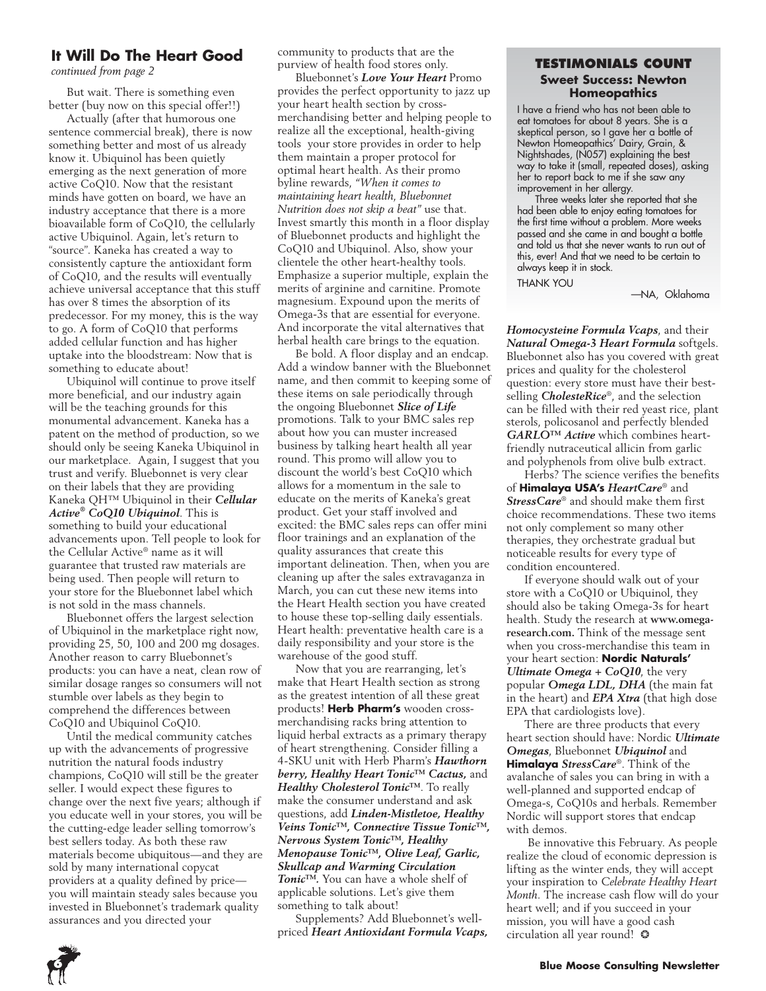#### **It Will Do The Heart Good**

But wait. There is something even better (buy now on this special offer!!)

Actually (after that humorous one sentence commercial break), there is now something better and most of us already know it. Ubiquinol has been quietly emerging as the next generation of more active CoQ10. Now that the resistant minds have gotten on board, we have an industry acceptance that there is a more bioavailable form of CoQ10, the cellularly active Ubiquinol. Again, let's return to "source". Kaneka has created a way to consistently capture the antioxidant form of CoQ10, and the results will eventually achieve universal acceptance that this stuff has over 8 times the absorption of its predecessor. For my money, this is the way to go. A form of CoQ10 that performs added cellular function and has higher uptake into the bloodstream: Now that is something to educate about!

Ubiquinol will continue to prove itself more beneficial, and our industry again will be the teaching grounds for this monumental advancement. Kaneka has a patent on the method of production, so we should only be seeing Kaneka Ubiquinol in our marketplace. Again, I suggest that you trust and verify. Bluebonnet is very clear on their labels that they are providing Kaneka QH™ Ubiquinol in their *Cellular Active® CoQ10 Ubiquinol*. This is something to build your educational advancements upon. Tell people to look for the Cellular Active® name as it will guarantee that trusted raw materials are being used. Then people will return to your store for the Bluebonnet label which is not sold in the mass channels.

Bluebonnet offers the largest selection of Ubiquinol in the marketplace right now, providing 25, 50, 100 and 200 mg dosages. Another reason to carry Bluebonnet's products: you can have a neat, clean row of similar dosage ranges so consumers will not stumble over labels as they begin to comprehend the differences between CoQ10 and Ubiquinol CoQ10.

Until the medical community catches up with the advancements of progressive nutrition the natural foods industry champions, CoQ10 will still be the greater seller. I would expect these figures to change over the next five years; although if you educate well in your stores, you will be the cutting-edge leader selling tomorrow's best sellers today. As both these raw materials become ubiquitous—and they are sold by many international copycat providers at a quality defined by price you will maintain steady sales because you invested in Bluebonnet's trademark quality assurances and you directed your

community to products that are the

Bluebonnet's *Love Your Heart* Promo provides the perfect opportunity to jazz up your heart health section by crossmerchandising better and helping people to realize all the exceptional, health-giving tools your store provides in order to help them maintain a proper protocol for optimal heart health. As their promo byline rewards, *"When it comes to maintaining heart health, Bluebonnet Nutrition does not skip a beat"* use that. Invest smartly this month in a floor display of Bluebonnet products and highlight the CoQ10 and Ubiquinol. Also, show your clientele the other heart-healthy tools. Emphasize a superior multiple, explain the merits of arginine and carnitine. Promote magnesium. Expound upon the merits of Omega-3s that are essential for everyone. And incorporate the vital alternatives that herbal health care brings to the equation.

Be bold. A floor display and an endcap. Add a window banner with the Bluebonnet name, and then commit to keeping some of these items on sale periodically through the ongoing Bluebonnet *Slice of Life*  promotions. Talk to your BMC sales rep about how you can muster increased business by talking heart health all year round. This promo will allow you to discount the world's best CoQ10 which allows for a momentum in the sale to educate on the merits of Kaneka's great product. Get your staff involved and excited: the BMC sales reps can offer mini floor trainings and an explanation of the quality assurances that create this important delineation. Then, when you are cleaning up after the sales extravaganza in March, you can cut these new items into the Heart Health section you have created to house these top-selling daily essentials. Heart health: preventative health care is a daily responsibility and your store is the warehouse of the good stuff.

Now that you are rearranging, let's make that Heart Health section as strong as the greatest intention of all these great products! **Herb Pharm's** wooden crossmerchandising racks bring attention to liquid herbal extracts as a primary therapy of heart strengthening. Consider filling a 4-SKU unit with Herb Pharm's *Hawthorn berry, Healthy Heart Tonic™ Cactus,* and *Healthy Cholesterol Tonic™*. To really make the consumer understand and ask questions, add *Linden-Mistletoe, Healthy Veins Tonic™, Connective Tissue Tonic™, Nervous System Tonic™, Healthy Menopause Tonic™, Olive Leaf, Garlic, Skullcap and Warming Circulation Tonic™.* You can have a whole shelf of applicable solutions. Let's give them something to talk about!

Supplements? Add Bluebonnet's wellpriced *Heart Antioxidant Formula Vcaps,* 

#### **Purview of health food stores only.**<br> *continued from page 2 Purbonage Purphysing Law Your Heart Prome* **1996 <b>1996 Sweet Success: Newton Homeopathics**

I have a friend who has not been able to eat tomatoes for about 8 years. She is a skeptical person, so I gave her a bottle of Newton Homeopathics' Dairy, Grain, & Nightshades, (N057) explaining the best way to take it (small, repeated doses), asking her to report back to me if she saw any improvement in her allergy.

Three weeks later she reported that she had been able to enjoy eating tomatoes for the first time without a problem. More weeks passed and she came in and bought a bottle and told us that she never wants to run out of this, ever! And that we need to be certain to always keep it in stock.

THANK YOU

—NA, Oklahoma

*Homocysteine Formula Vcaps*, and their *Natural Omega-3 Heart Formula* softgels. Bluebonnet also has you covered with great prices and quality for the cholesterol question: every store must have their bestselling *CholesteRice*®, and the selection can be filled with their red yeast rice, plant sterols, policosanol and perfectly blended *GARLO™ Active* which combines heartfriendly nutraceutical allicin from garlic and polyphenols from olive bulb extract.

Herbs? The science verifies the benefits of **Himalaya USA's** *HeartCare*® and *StressCare*® and should make them first choice recommendations. These two items not only complement so many other therapies, they orchestrate gradual but noticeable results for every type of condition encountered.

If everyone should walk out of your store with a CoQ10 or Ubiquinol, they should also be taking Omega-3s for heart health. Study the research at **www.omegaresearch.com.** Think of the message sent when you cross-merchandise this team in your heart section: **Nordic Naturals'** *Ultimate Omega + CoQ10*, the very popular *Omega LDL, DHA* (the main fat in the heart) and *EPA Xtra* (that high dose EPA that cardiologists love).

There are three products that every heart section should have: Nordic *Ultimate Omegas*, Bluebonnet *Ubiquinol* and **Himalaya** *StressCare*®. Think of the avalanche of sales you can bring in with a well-planned and supported endcap of Omega-s, CoQ10s and herbals. Remember Nordic will support stores that endcap with demos.

 Be innovative this February. As people realize the cloud of economic depression is lifting as the winter ends, they will accept your inspiration to *Celebrate Healthy Heart Month*. The increase cash flow will do your heart well; and if you succeed in your mission, you will have a good cash circulation all year round!❂

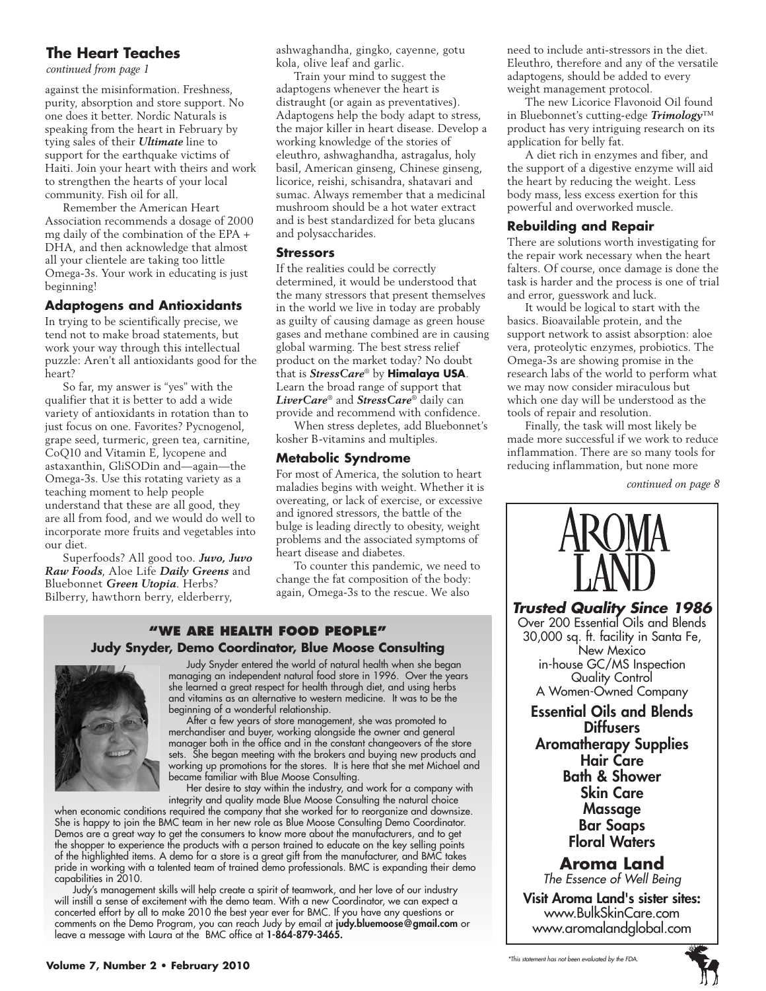#### **The Heart Teaches**

*continued from page 1*

against the misinformation. Freshness, purity, absorption and store support. No one does it better. Nordic Naturals is speaking from the heart in February by tying sales of their *Ultimate* line to support for the earthquake victims of Haiti. Join your heart with theirs and work to strengthen the hearts of your local community. Fish oil for all.

Remember the American Heart Association recommends a dosage of 2000 mg daily of the combination of the EPA + DHA, and then acknowledge that almost all your clientele are taking too little Omega-3s. Your work in educating is just beginning!

#### **Adaptogens and Antioxidants**

In trying to be scientifically precise, we tend not to make broad statements, but work your way through this intellectual puzzle: Aren't all antioxidants good for the heart?

So far, my answer is "yes" with the qualifier that it is better to add a wide variety of antioxidants in rotation than to just focus on one. Favorites? Pycnogenol, grape seed, turmeric, green tea, carnitine, CoQ10 and Vitamin E, lycopene and astaxanthin, GliSODin and—again—the Omega-3s. Use this rotating variety as a teaching moment to help people understand that these are all good, they are all from food, and we would do well to incorporate more fruits and vegetables into our diet.

Superfoods? All good too. *Juvo, Juvo Raw Foods*, Aloe Life *Daily Greens* and Bluebonnet *Green Utopia*. Herbs? Bilberry, hawthorn berry, elderberry,

ashwaghandha, gingko, cayenne, gotu kola, olive leaf and garlic.

Train your mind to suggest the adaptogens whenever the heart is distraught (or again as preventatives). Adaptogens help the body adapt to stress, the major killer in heart disease. Develop a working knowledge of the stories of eleuthro, ashwaghandha, astragalus, holy basil, American ginseng, Chinese ginseng, licorice, reishi, schisandra, shatavari and sumac. Always remember that a medicinal mushroom should be a hot water extract and is best standardized for beta glucans and polysaccharides.

#### **Stressors**

If the realities could be correctly determined, it would be understood that the many stressors that present themselves in the world we live in today are probably as guilty of causing damage as green house gases and methane combined are in causing global warming. The best stress relief product on the market today? No doubt that is *StressCare*® by **Himalaya USA**. Learn the broad range of support that *LiverCare*® and *StressCare*® daily can provide and recommend with confidence.

When stress depletes, add Bluebonnet's kosher B-vitamins and multiples.

#### **Metabolic Syndrome**

For most of America, the solution to heart maladies begins with weight. Whether it is overeating, or lack of exercise, or excessive and ignored stressors, the battle of the bulge is leading directly to obesity, weight problems and the associated symptoms of heart disease and diabetes.

To counter this pandemic, we need to change the fat composition of the body: again, Omega-3s to the rescue. We also

#### **"We Are health food people" Judy Snyder, Demo Coordinator, Blue Moose Consulting**



Judy Snyder entered the world of natural health when she began managing an independent natural food store in 1996. Over the years she learned a great respect for health through diet, and using herbs and vitamins as an alternative to western medicine. It was to be the beginning of a wonderful relationship.

After a few years of store management, she was promoted to merchandiser and buyer, working alongside the owner and general manager both in the office and in the constant changeovers of the store sets. She began meeting with the brokers and buying new products and working up promotions for the stores. It is here that she met Michael and became familiar with Blue Moose Consulting.

Her desire to stay within the industry, and work for a company with integrity and quality made Blue Moose Consulting the natural choice

when economic conditions required the company that she worked for to reorganize and downsize. She is happy to join the BMC team in her new role as Blue Moose Consulting Demo Coordinator. Demos are a great way to get the consumers to know more about the manufacturers, and to get the shopper to experience the products with a person trained to educate on the key selling points of the highlighted items. A demo for a store is a great gift from the manufacturer, and BMC takes pride in working with a talented team of trained demo professionals. BMC is expanding their demo capabilities in 2010.

Judy's management skills will help create a spirit of teamwork, and her love of our industry will instill a sense of excitement with the demo team. With a new Coordinator, we can expect a concerted effort by all to make 2010 the best year ever for BMC. If you have any questions or comments on the Demo Program, you can reach Judy by email at judy.bluemoose@gmail.com or leave a message with Laura at the BMC office at 1-864-879-3465.

need to include anti-stressors in the diet. Eleuthro, therefore and any of the versatile adaptogens, should be added to every weight management protocol.

The new Licorice Flavonoid Oil found in Bluebonnet's cutting-edge *Trimology*™ product has very intriguing research on its application for belly fat.

A diet rich in enzymes and fiber, and the support of a digestive enzyme will aid the heart by reducing the weight. Less body mass, less excess exertion for this powerful and overworked muscle.

#### **Rebuilding and Repair**

There are solutions worth investigating for the repair work necessary when the heart falters. Of course, once damage is done the task is harder and the process is one of trial and error, guesswork and luck.

It would be logical to start with the basics. Bioavailable protein, and the support network to assist absorption: aloe vera, proteolytic enzymes, probiotics. The Omega-3s are showing promise in the research labs of the world to perform what we may now consider miraculous but which one day will be understood as the tools of repair and resolution.

Finally, the task will most likely be made more successful if we work to reduce inflammation. There are so many tools for reducing inflammation, but none more

*continued on page 8*